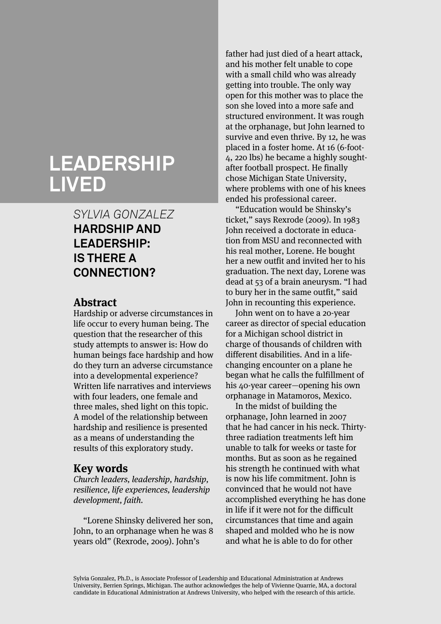# **LEADERSHIP LIVED**

## *SYLVIA GONZALEZ* **HARDSHIP AND LEADERSHIP: IS THERE A CONNECTION?**

## **Abstract**

Hardship or adverse circumstances in life occur to every human being. The question that the researcher of this study attempts to answer is: How do human beings face hardship and how do they turn an adverse circumstance into a developmental experience? Written life narratives and interviews with four leaders, one female and three males, shed light on this topic. A model of the relationship between hardship and resilience is presented as a means of understanding the results of this exploratory study.

### **Key words**

Church leaders, leadership, hardship, resilience, life experiences, leadership development, faith.

"Lorene Shinsky delivered her son, John, to an orphanage when he was 8 years old" (Rexrode, 2009). John's

father had just died of a heart attack, and his mother felt unable to cope with a small child who was already getting into trouble. The only way open for this mother was to place the son she loved into a more safe and structured environment. It was rough at the orphanage, but John learned to survive and even thrive. By 12, he was placed in a foster home. At 16 (6-foot-4, 220 lbs) he became a highly soughtafter football prospect. He finally chose Michigan State University, where problems with one of his knees ended his professional career.

"Education would be Shinsky's ticket," says Rexrode (2009). In 1983 John received a doctorate in education from MSU and reconnected with his real mother, Lorene. He bought her a new outfit and invited her to his graduation. The next day, Lorene was dead at 53 of a brain aneurysm. "I had to bury her in the same outfit," said John in recounting this experience.

John went on to have a 20-year career as director of special education for a Michigan school district in charge of thousands of children with different disabilities. And in a lifechanging encounter on a plane he began what he calls the fulfillment of his 40-year career—opening his own orphanage in Matamoros, Mexico.

In the midst of building the orphanage, John learned in 2007 that he had cancer in his neck. Thirtythree radiation treatments left him unable to talk for weeks or taste for months. But as soon as he regained his strength he continued with what is now his life commitment. John is convinced that he would not have accomplished everything he has done in life if it were not for the difficult circumstances that time and again shaped and molded who he is now and what he is able to do for other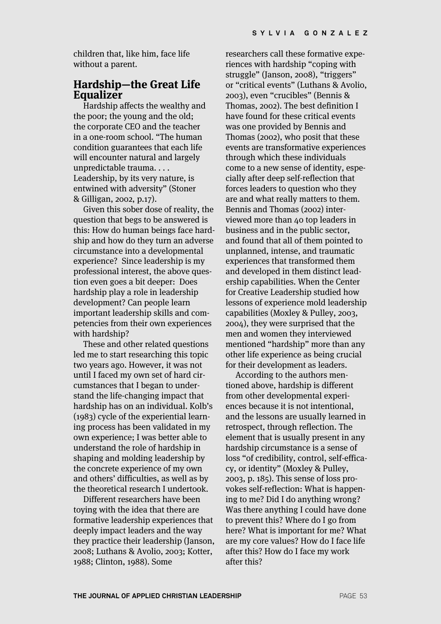children that, like him, face life without a parent.

## **Hardship—the Great Life Equalizer**

Hardship affects the wealthy and the poor; the young and the old; the corporate CEO and the teacher in a one-room school. "The human condition guarantees that each life will encounter natural and largely unpredictable trauma. . . . Leadership, by its very nature, is entwined with adversity" (Stoner & Gilligan, 2002, p.17).

Given this sober dose of reality, the question that begs to be answered is this: How do human beings face hardship and how do they turn an adverse circumstance into a developmental experience? Since leadership is my professional interest, the above question even goes a bit deeper: Does hardship play a role in leadership development? Can people learn important leadership skills and competencies from their own experiences with hardship?

These and other related questions led me to start researching this topic two years ago. However, it was not until I faced my own set of hard circumstances that I began to understand the life-changing impact that hardship has on an individual. Kolb's (1983) cycle of the experiential learning process has been validated in my own experience; I was better able to understand the role of hardship in shaping and molding leadership by the concrete experience of my own and others' difficulties, as well as by the theoretical research I undertook.

Different researchers have been toying with the idea that there are formative leadership experiences that deeply impact leaders and the way they practice their leadership (Janson, 2008; Luthans & Avolio, 2003; Kotter, 1988; Clinton, 1988). Some

researchers call these formative experiences with hardship "coping with struggle" (Janson, 2008), "triggers" or "critical events" (Luthans & Avolio, 2003), even "crucibles" (Bennis & Thomas, 2002). The best definition I have found for these critical events was one provided by Bennis and Thomas (2002), who posit that these events are transformative experiences through which these individuals come to a new sense of identity, especially after deep self-reflection that forces leaders to question who they are and what really matters to them. Bennis and Thomas (2002) interviewed more than 40 top leaders in business and in the public sector, and found that all of them pointed to unplanned, intense, and traumatic experiences that transformed them and developed in them distinct leadership capabilities. When the Center for Creative Leadership studied how lessons of experience mold leadership capabilities (Moxley & Pulley, 2003, 2004), they were surprised that the men and women they interviewed mentioned "hardship" more than any other life experience as being crucial for their development as leaders.

According to the authors mentioned above, hardship is different from other developmental experiences because it is not intentional, and the lessons are usually learned in retrospect, through reflection. The element that is usually present in any hardship circumstance is a sense of loss "of credibility, control, self-efficacy, or identity" (Moxley & Pulley, 2003, p. 185). This sense of loss provokes self-reflection: What is happening to me? Did I do anything wrong? Was there anything I could have done to prevent this? Where do I go from here? What is important for me? What are my core values? How do I face life after this? How do I face my work after this?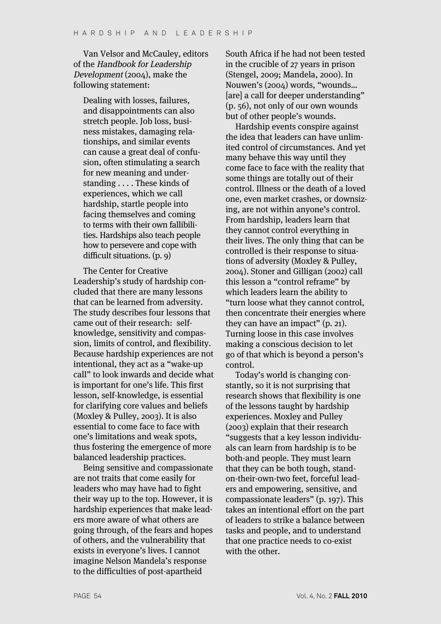Van Velsor and McCauley, editors of the Handbook for Leadership Development (2004), make the following statement:

Dealing with losses, failures, and disappointments can also stretch people. Job loss, business mistakes, damaging relationships, and similar events can cause a great deal of confusion, often stimulating a search for new meaning and understanding . . . . These kinds of experiences, which we call hardship, startle people into facing themselves and coming to terms with their own fallibilities. Hardships also teach people how to persevere and cope with difficult situations. (p. 9)

The Center for Creative Leadership's study of hardship concluded that there are many lessons that can be learned from adversity. The study describes four lessons that came out of their research: selfknowledge, sensitivity and compassion, limits of control, and flexibility. Because hardship experiences are not intentional, they act as a "wake-up call" to look inwards and decide what is important for one's life. This first lesson, self-knowledge, is essential for clarifying core values and beliefs (Moxley & Pulley, 2003). It is also essential to come face to face with one's limitations and weak spots, thus fostering the emergence of more balanced leadership practices.

Being sensitive and compassionate are not traits that come easily for leaders who may have had to fight their way up to the top. However, it is hardship experiences that make leaders more aware of what others are going through, of the fears and hopes of others, and the vulnerability that exists in everyone's lives. I cannot imagine Nelson Mandela's response to the difficulties of post-apartheid

South Africa if he had not been tested in the crucible of 27 years in prison (Stengel, 2009; Mandela, 2000). In Nouwen's (2004) words, "wounds… [are] a call for deeper understanding" (p. 56), not only of our own wounds but of other people's wounds.

Hardship events conspire against the idea that leaders can have unlimited control of circumstances. And yet many behave this way until they come face to face with the reality that some things are totally out of their control. Illness or the death of a loved one, even market crashes, or downsizing, are not within anyone's control. From hardship, leaders learn that they cannot control everything in their lives. The only thing that can be controlled is their response to situations of adversity (Moxley & Pulley, 2004). Stoner and Gilligan (2002) call this lesson a "control reframe" by which leaders learn the ability to "turn loose what they cannot control, then concentrate their energies where they can have an impact" (p. 21). Turning loose in this case involves making a conscious decision to let go of that which is beyond a person's control.

Today's world is changing constantly, so it is not surprising that research shows that flexibility is one of the lessons taught by hardship experiences. Moxley and Pulley (2003) explain that their research "suggests that a key lesson individuals can learn from hardship is to be both-and people. They must learn that they can be both tough, standon-their-own-two feet, forceful leaders and empowering, sensitive, and compassionate leaders" (p. 197). This takes an intentional effort on the part of leaders to strike a balance between tasks and people, and to understand that one practice needs to co-exist with the other.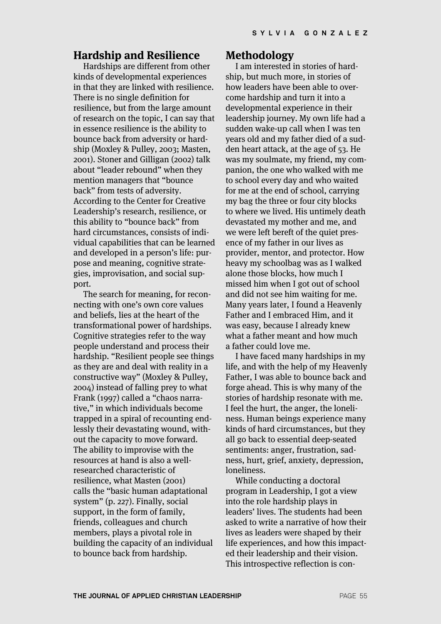#### **Hardship and Resilience**

Hardships are different from other kinds of developmental experiences in that they are linked with resilience. There is no single definition for resilience, but from the large amount of research on the topic, I can say that in essence resilience is the ability to bounce back from adversity or hardship (Moxley & Pulley, 2003; Masten, 2001). Stoner and Gilligan (2002) talk about "leader rebound" when they mention managers that "bounce back" from tests of adversity. According to the Center for Creative Leadership's research, resilience, or this ability to "bounce back" from hard circumstances, consists of individual capabilities that can be learned and developed in a person's life: purpose and meaning, cognitive strategies, improvisation, and social support.

The search for meaning, for reconnecting with one's own core values and beliefs, lies at the heart of the transformational power of hardships. Cognitive strategies refer to the way people understand and process their hardship. "Resilient people see things as they are and deal with reality in a constructive way" (Moxley & Pulley, 2004) instead of falling prey to what Frank (1997) called a "chaos narrative," in which individuals become trapped in a spiral of recounting endlessly their devastating wound, without the capacity to move forward. The ability to improvise with the resources at hand is also a wellresearched characteristic of resilience, what Masten (2001) calls the "basic human adaptational system" (p. 227). Finally, social support, in the form of family, friends, colleagues and church members, plays a pivotal role in building the capacity of an individual to bounce back from hardship.

#### **Methodology**

I am interested in stories of hardship, but much more, in stories of how leaders have been able to overcome hardship and turn it into a developmental experience in their leadership journey. My own life had a sudden wake-up call when I was ten years old and my father died of a sudden heart attack, at the age of 53. He was my soulmate, my friend, my companion, the one who walked with me to school every day and who waited for me at the end of school, carrying my bag the three or four city blocks to where we lived. His untimely death devastated my mother and me, and we were left bereft of the quiet presence of my father in our lives as provider, mentor, and protector. How heavy my schoolbag was as I walked alone those blocks, how much I missed him when I got out of school and did not see him waiting for me. Many years later, I found a Heavenly Father and I embraced Him, and it was easy, because I already knew what a father meant and how much a father could love me.

I have faced many hardships in my life, and with the help of my Heavenly Father, I was able to bounce back and forge ahead. This is why many of the stories of hardship resonate with me. I feel the hurt, the anger, the loneliness. Human beings experience many kinds of hard circumstances, but they all go back to essential deep-seated sentiments: anger, frustration, sadness, hurt, grief, anxiety, depression, loneliness.

While conducting a doctoral program in Leadership, I got a view into the role hardship plays in leaders' lives. The students had been asked to write a narrative of how their lives as leaders were shaped by their life experiences, and how this impacted their leadership and their vision. This introspective reflection is con-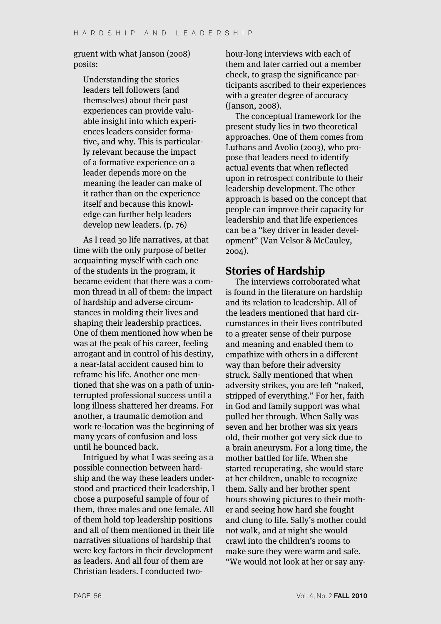#### gruent with what Janson (2008) posits:

Understanding the stories leaders tell followers (and themselves) about their past experiences can provide valuable insight into which experiences leaders consider formative, and why. This is particularly relevant because the impact of a formative experience on a leader depends more on the meaning the leader can make of it rather than on the experience itself and because this knowledge can further help leaders develop new leaders. (p. 76)

As I read 30 life narratives, at that time with the only purpose of better acquainting myself with each one of the students in the program, it became evident that there was a common thread in all of them: the impact of hardship and adverse circumstances in molding their lives and shaping their leadership practices. One of them mentioned how when he was at the peak of his career, feeling arrogant and in control of his destiny, a near-fatal accident caused him to reframe his life. Another one mentioned that she was on a path of uninterrupted professional success until a long illness shattered her dreams. For another, a traumatic demotion and work re-location was the beginning of many years of confusion and loss until he bounced back.

Intrigued by what I was seeing as a possible connection between hardship and the way these leaders understood and practiced their leadership, I chose a purposeful sample of four of them, three males and one female. All of them hold top leadership positions and all of them mentioned in their life narratives situations of hardship that were key factors in their development as leaders. And all four of them are Christian leaders. I conducted twohour-long interviews with each of them and later carried out a member check, to grasp the significance participants ascribed to their experiences with a greater degree of accuracy (Janson, 2008).

The conceptual framework for the present study lies in two theoretical approaches. One of them comes from Luthans and Avolio (2003), who propose that leaders need to identify actual events that when reflected upon in retrospect contribute to their leadership development. The other approach is based on the concept that people can improve their capacity for leadership and that life experiences can be a "key driver in leader development" (Van Velsor & McCauley, 2004).

#### **Stories of Hardship**

The interviews corroborated what is found in the literature on hardship and its relation to leadership. All of the leaders mentioned that hard circumstances in their lives contributed to a greater sense of their purpose and meaning and enabled them to empathize with others in a different way than before their adversity struck. Sally mentioned that when adversity strikes, you are left "naked, stripped of everything." For her, faith in God and family support was what pulled her through. When Sally was seven and her brother was six years old, their mother got very sick due to a brain aneurysm. For a long time, the mother battled for life. When she started recuperating, she would stare at her children, unable to recognize them. Sally and her brother spent hours showing pictures to their mother and seeing how hard she fought and clung to life. Sally's mother could not walk, and at night she would crawl into the children's rooms to make sure they were warm and safe. "We would not look at her or say any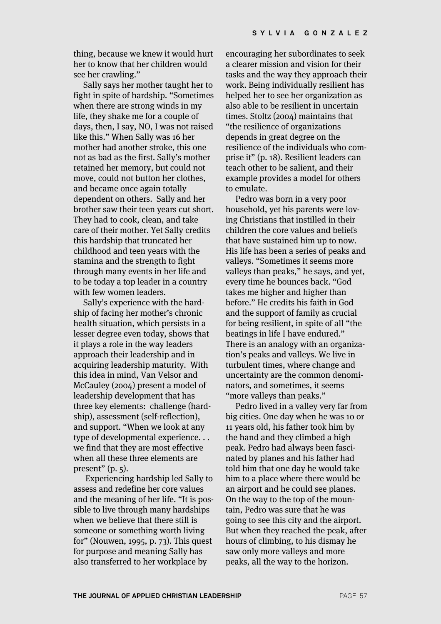thing, because we knew it would hurt her to know that her children would see her crawling."

Sally says her mother taught her to fight in spite of hardship. "Sometimes when there are strong winds in my life, they shake me for a couple of days, then, I say, NO, I was not raised like this." When Sally was 16 her mother had another stroke, this one not as bad as the first. Sally's mother retained her memory, but could not move, could not button her clothes, and became once again totally dependent on others. Sally and her brother saw their teen years cut short. They had to cook, clean, and take care of their mother. Yet Sally credits this hardship that truncated her childhood and teen years with the stamina and the strength to fight through many events in her life and to be today a top leader in a country with few women leaders.

Sally's experience with the hardship of facing her mother's chronic health situation, which persists in a lesser degree even today, shows that it plays a role in the way leaders approach their leadership and in acquiring leadership maturity. With this idea in mind, Van Velsor and McCauley (2004) present a model of leadership development that has three key elements: challenge (hardship), assessment (self-reflection), and support. "When we look at any type of developmental experience. . . we find that they are most effective when all these three elements are present"  $(p, 5)$ .

Experiencing hardship led Sally to assess and redefine her core values and the meaning of her life. "It is possible to live through many hardships when we believe that there still is someone or something worth living for" (Nouwen, 1995, p. 73). This quest for purpose and meaning Sally has also transferred to her workplace by

encouraging her subordinates to seek a clearer mission and vision for their tasks and the way they approach their work. Being individually resilient has helped her to see her organization as also able to be resilient in uncertain times. Stoltz (2004) maintains that "the resilience of organizations depends in great degree on the resilience of the individuals who comprise it" (p. 18). Resilient leaders can teach other to be salient, and their example provides a model for others to emulate.

Pedro was born in a very poor household, yet his parents were loving Christians that instilled in their children the core values and beliefs that have sustained him up to now. His life has been a series of peaks and valleys. "Sometimes it seems more valleys than peaks," he says, and yet, every time he bounces back. "God takes me higher and higher than before." He credits his faith in God and the support of family as crucial for being resilient, in spite of all "the beatings in life I have endured." There is an analogy with an organization's peaks and valleys. We live in turbulent times, where change and uncertainty are the common denominators, and sometimes, it seems "more valleys than peaks."

Pedro lived in a valley very far from big cities. One day when he was 10 or 11 years old, his father took him by the hand and they climbed a high peak. Pedro had always been fascinated by planes and his father had told him that one day he would take him to a place where there would be an airport and he could see planes. On the way to the top of the mountain, Pedro was sure that he was going to see this city and the airport. But when they reached the peak, after hours of climbing, to his dismay he saw only more valleys and more peaks, all the way to the horizon.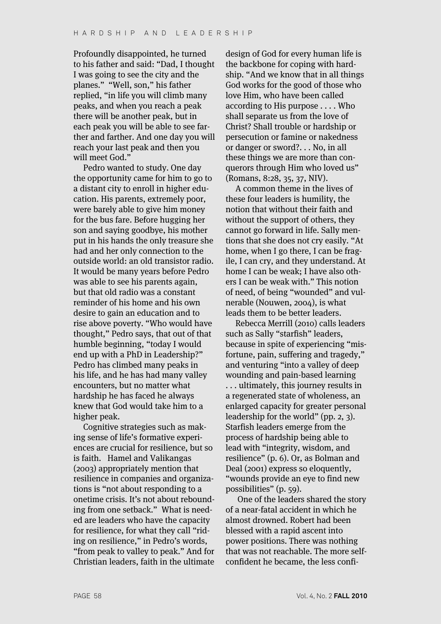Profoundly disappointed, he turned to his father and said: "Dad, I thought I was going to see the city and the planes." "Well, son," his father replied, "in life you will climb many peaks, and when you reach a peak there will be another peak, but in each peak you will be able to see farther and farther. And one day you will reach your last peak and then you will meet God."

Pedro wanted to study. One day the opportunity came for him to go to a distant city to enroll in higher education. His parents, extremely poor, were barely able to give him money for the bus fare. Before hugging her son and saying goodbye, his mother put in his hands the only treasure she had and her only connection to the outside world: an old transistor radio. It would be many years before Pedro was able to see his parents again, but that old radio was a constant reminder of his home and his own desire to gain an education and to rise above poverty. "Who would have thought," Pedro says, that out of that humble beginning, "today I would end up with a PhD in Leadership?" Pedro has climbed many peaks in his life, and he has had many valley encounters, but no matter what hardship he has faced he always knew that God would take him to a higher peak.

Cognitive strategies such as making sense of life's formative experiences are crucial for resilience, but so is faith. Hamel and Valikangas (2003) appropriately mention that resilience in companies and organizations is "not about responding to a onetime crisis. It's not about rebounding from one setback." What is needed are leaders who have the capacity for resilience, for what they call "riding on resilience," in Pedro's words, "from peak to valley to peak." And for Christian leaders, faith in the ultimate

design of God for every human life is the backbone for coping with hardship. "And we know that in all things God works for the good of those who love Him, who have been called according to His purpose . . . . Who shall separate us from the love of Christ? Shall trouble or hardship or persecution or famine or nakedness or danger or sword?. . . No, in all these things we are more than conquerors through Him who loved us" (Romans, 8:28, 35, 37, NIV).

A common theme in the lives of these four leaders is humility, the notion that without their faith and without the support of others, they cannot go forward in life. Sally mentions that she does not cry easily. "At home, when I go there, I can be fragile, I can cry, and they understand. At home I can be weak; I have also others I can be weak with." This notion of need, of being "wounded" and vulnerable (Nouwen, 2004), is what leads them to be better leaders.

Rebecca Merrill (2010) calls leaders such as Sally "starfish" leaders, because in spite of experiencing "misfortune, pain, suffering and tragedy," and venturing "into a valley of deep wounding and pain-based learning . . . ultimately, this journey results in a regenerated state of wholeness, an enlarged capacity for greater personal leadership for the world" (pp. 2, 3). Starfish leaders emerge from the process of hardship being able to lead with "integrity, wisdom, and resilience" (p. 6). Or, as Bolman and Deal (2001) express so eloquently, "wounds provide an eye to find new possibilities" (p. 59).

One of the leaders shared the story of a near-fatal accident in which he almost drowned. Robert had been blessed with a rapid ascent into power positions. There was nothing that was not reachable. The more selfconfident he became, the less confi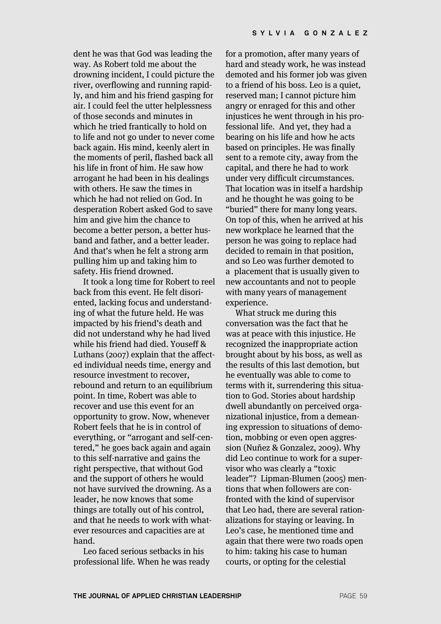dent he was that God was leading the way. As Robert told me about the drowning incident, I could picture the river, overflowing and running rapidly, and him and his friend gasping for air. I could feel the utter helplessness of those seconds and minutes in which he tried frantically to hold on to life and not go under to never come back again. His mind, keenly alert in the moments of peril, flashed back all his life in front of him. He saw how arrogant he had been in his dealings with others. He saw the times in which he had not relied on God. In desperation Robert asked God to save him and give him the chance to become a better person, a better husband and father, and a better leader. And that's when he felt a strong arm pulling him up and taking him to safety. His friend drowned.

It took a long time for Robert to reel back from this event. He felt disoriented, lacking focus and understanding of what the future held. He was impacted by his friend's death and did not understand why he had lived while his friend had died. Youseff & Luthans (2007) explain that the affected individual needs time, energy and resource investment to recover, rebound and return to an equilibrium point. In time, Robert was able to recover and use this event for an opportunity to grow. Now, whenever Robert feels that he is in control of everything, or "arrogant and self-centered," he goes back again and again to this self-narrative and gains the right perspective, that without God and the support of others he would not have survived the drowning. As a leader, he now knows that some things are totally out of his control, and that he needs to work with whatever resources and capacities are at hand.

Leo faced serious setbacks in his professional life. When he was ready

for a promotion, after many years of hard and steady work, he was instead demoted and his former job was given to a friend of his boss. Leo is a quiet, reserved man; I cannot picture him angry or enraged for this and other injustices he went through in his professional life. And yet, they had a bearing on his life and how he acts based on principles. He was finally sent to a remote city, away from the capital, and there he had to work under very difficult circumstances. That location was in itself a hardship and he thought he was going to be "buried" there for many long years. On top of this, when he arrived at his new workplace he learned that the person he was going to replace had decided to remain in that position, and so Leo was further demoted to a placement that is usually given to new accountants and not to people with many years of management experience.

What struck me during this conversation was the fact that he was at peace with this injustice. He recognized the inappropriate action brought about by his boss, as well as the results of this last demotion, but he eventually was able to come to terms with it, surrendering this situation to God. Stories about hardship dwell abundantly on perceived organizational injustice, from a demeaning expression to situations of demotion, mobbing or even open aggression (Nuñez & Gonzalez, 2009). Why did Leo continue to work for a supervisor who was clearly a "toxic leader"? Lipman-Blumen (2005) mentions that when followers are confronted with the kind of supervisor that Leo had, there are several rationalizations for staying or leaving. In Leo's case, he mentioned time and again that there were two roads open to him: taking his case to human courts, or opting for the celestial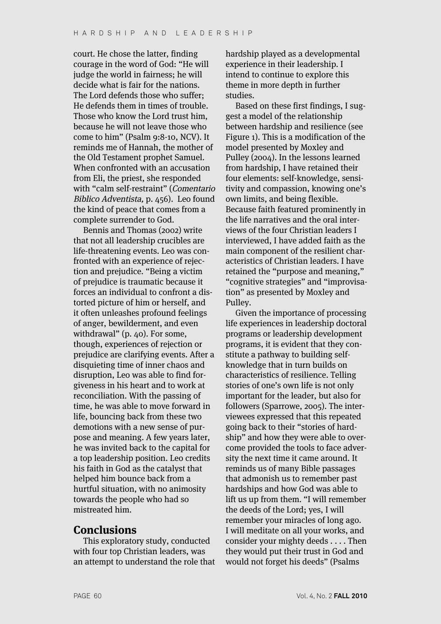court. He chose the latter, finding courage in the word of God: "He will judge the world in fairness; he will decide what is fair for the nations. The Lord defends those who suffer; He defends them in times of trouble. Those who know the Lord trust him, because he will not leave those who come to him" (Psalm 9:8-10, NCV). It reminds me of Hannah, the mother of the Old Testament prophet Samuel. When confronted with an accusation from Eli, the priest, she responded with "calm self-restraint" (Comentario Biblico Adventista, p. 456). Leo found the kind of peace that comes from a complete surrender to God.

Bennis and Thomas (2002) write that not all leadership crucibles are life-threatening events. Leo was confronted with an experience of rejection and prejudice. "Being a victim of prejudice is traumatic because it forces an individual to confront a distorted picture of him or herself, and it often unleashes profound feelings of anger, bewilderment, and even withdrawal" (p. 40). For some, though, experiences of rejection or prejudice are clarifying events. After a disquieting time of inner chaos and disruption, Leo was able to find forgiveness in his heart and to work at reconciliation. With the passing of time, he was able to move forward in life, bouncing back from these two demotions with a new sense of purpose and meaning. A few years later, he was invited back to the capital for a top leadership position. Leo credits his faith in God as the catalyst that helped him bounce back from a hurtful situation, with no animosity towards the people who had so mistreated him.

## **Conclusions**

This exploratory study, conducted with four top Christian leaders, was an attempt to understand the role that

hardship played as a developmental experience in their leadership. I intend to continue to explore this theme in more depth in further studies.

Based on these first findings, I suggest a model of the relationship between hardship and resilience (see Figure 1). This is a modification of the model presented by Moxley and Pulley (2004). In the lessons learned from hardship, I have retained their four elements: self-knowledge, sensitivity and compassion, knowing one's own limits, and being flexible. Because faith featured prominently in the life narratives and the oral interviews of the four Christian leaders I interviewed, I have added faith as the main component of the resilient characteristics of Christian leaders. I have retained the "purpose and meaning," "cognitive strategies" and "improvisation" as presented by Moxley and Pulley.

Given the importance of processing life experiences in leadership doctoral programs or leadership development programs, it is evident that they constitute a pathway to building selfknowledge that in turn builds on characteristics of resilience. Telling stories of one's own life is not only important for the leader, but also for followers (Sparrowe, 2005). The interviewees expressed that this repeated going back to their "stories of hardship" and how they were able to overcome provided the tools to face adversity the next time it came around. It reminds us of many Bible passages that admonish us to remember past hardships and how God was able to lift us up from them. "I will remember the deeds of the Lord; yes, I will remember your miracles of long ago. I will meditate on all your works, and consider your mighty deeds . . . . Then they would put their trust in God and would not forget his deeds" (Psalms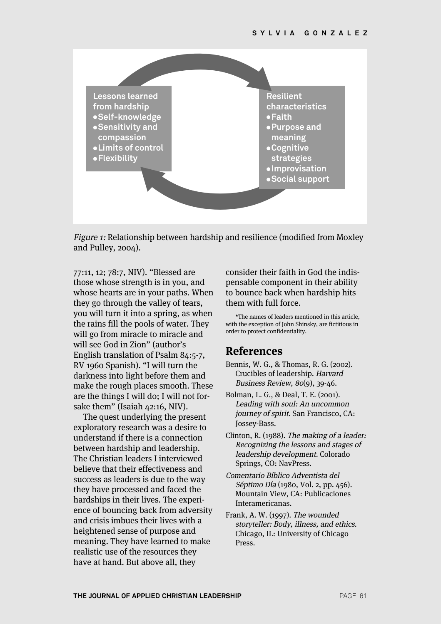

Figure 1: Relationship between hardship and resilience (modified from Moxley and Pulley, 2004).

77:11, 12; 78:7, NIV). "Blessed are those whose strength is in you, and whose hearts are in your paths. When they go through the valley of tears, you will turn it into a spring, as when the rains fill the pools of water. They will go from miracle to miracle and will see God in Zion" (author's English translation of Psalm 84:5-7, RV 1960 Spanish). "I will turn the darkness into light before them and make the rough places smooth. These are the things I will do; I will not forsake them" (Isaiah 42:16, NIV).

The quest underlying the present exploratory research was a desire to understand if there is a connection between hardship and leadership. The Christian leaders I interviewed believe that their effectiveness and success as leaders is due to the way they have processed and faced the hardships in their lives. The experience of bouncing back from adversity and crisis imbues their lives with a heightened sense of purpose and meaning. They have learned to make realistic use of the resources they have at hand. But above all, they

consider their faith in God the indispensable component in their ability to bounce back when hardship hits them with full force.

\*The names of leaders mentioned in this article, with the exception of John Shinsky, are fictitious in order to protect confidentiality.

#### **References**

- Bennis, W. G., & Thomas, R. G. (2002). Crucibles of leadership. Harvard Business Review, 80(9), 39-46.
- Bolman, L. G., & Deal, T. E. (2001). Leading with soul: An uncommon journey of spirit. San Francisco, CA: Jossey-Bass.
- Clinton, R. (1988). The making of a leader: Recognizing the lessons and stages of leadership development. Colorado Springs, CO: NavPress.
- Comentario Bíblico Adventista del Séptimo Día (1980, Vol. 2, pp. 456). Mountain View, CA: Publicaciones Interamericanas.
- Frank, A. W. (1997). The wounded storyteller: Body, illness, and ethics. Chicago, IL: University of Chicago **Press**